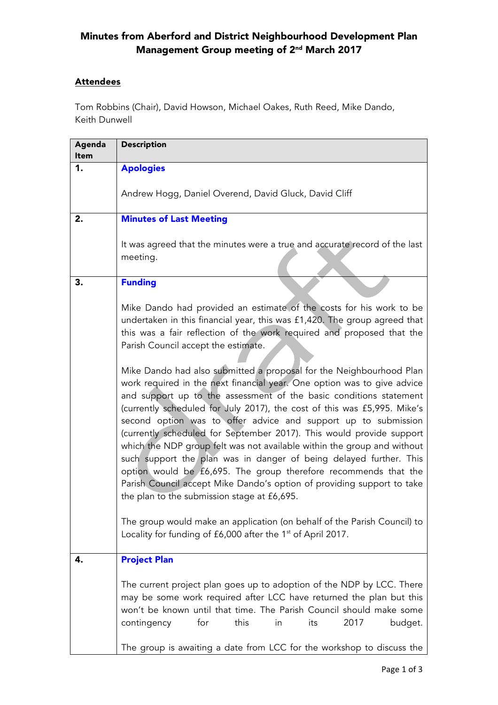## Minutes from Aberford and District Neighbourhood Development Plan Management Group meeting of 2nd March 2017

## **Attendees**

Tom Robbins (Chair), David Howson, Michael Oakes, Ruth Reed, Mike Dando, Keith Dunwell

| Agenda<br><b>Item</b> | <b>Description</b>                                                                                                                                                                                                                                                                                                                                                                                                                                                                                                                                                                                                                                                                                               |
|-----------------------|------------------------------------------------------------------------------------------------------------------------------------------------------------------------------------------------------------------------------------------------------------------------------------------------------------------------------------------------------------------------------------------------------------------------------------------------------------------------------------------------------------------------------------------------------------------------------------------------------------------------------------------------------------------------------------------------------------------|
| 1.                    | <b>Apologies</b>                                                                                                                                                                                                                                                                                                                                                                                                                                                                                                                                                                                                                                                                                                 |
|                       | Andrew Hogg, Daniel Overend, David Gluck, David Cliff                                                                                                                                                                                                                                                                                                                                                                                                                                                                                                                                                                                                                                                            |
| 2.                    | <b>Minutes of Last Meeting</b>                                                                                                                                                                                                                                                                                                                                                                                                                                                                                                                                                                                                                                                                                   |
|                       | It was agreed that the minutes were a true and accurate record of the last<br>meeting.                                                                                                                                                                                                                                                                                                                                                                                                                                                                                                                                                                                                                           |
| 3.                    | <b>Funding</b>                                                                                                                                                                                                                                                                                                                                                                                                                                                                                                                                                                                                                                                                                                   |
|                       | Mike Dando had provided an estimate of the costs for his work to be<br>undertaken in this financial year, this was £1,420. The group agreed that<br>this was a fair reflection of the work required and proposed that the<br>Parish Council accept the estimate.<br>Mike Dando had also submitted a proposal for the Neighbourhood Plan                                                                                                                                                                                                                                                                                                                                                                          |
|                       | work required in the next financial year. One option was to give advice<br>and support up to the assessment of the basic conditions statement<br>(currently scheduled for July 2017), the cost of this was £5,995. Mike's<br>second option was to offer advice and support up to submission<br>(currently scheduled for September 2017). This would provide support<br>which the NDP group felt was not available within the group and without<br>such support the plan was in danger of being delayed further. This<br>option would be £6,695. The group therefore recommends that the<br>Parish Council accept Mike Dando's option of providing support to take<br>the plan to the submission stage at £6,695. |
|                       | The group would make an application (on behalf of the Parish Council) to<br>Locality for funding of £6,000 after the 1 <sup>st</sup> of April 2017.                                                                                                                                                                                                                                                                                                                                                                                                                                                                                                                                                              |
| 4.                    | <b>Project Plan</b>                                                                                                                                                                                                                                                                                                                                                                                                                                                                                                                                                                                                                                                                                              |
|                       | The current project plan goes up to adoption of the NDP by LCC. There<br>may be some work required after LCC have returned the plan but this<br>won't be known until that time. The Parish Council should make some<br>2017<br>for<br>this<br>contingency<br>in<br>its<br>budget.                                                                                                                                                                                                                                                                                                                                                                                                                                |
|                       | The group is awaiting a date from LCC for the workshop to discuss the                                                                                                                                                                                                                                                                                                                                                                                                                                                                                                                                                                                                                                            |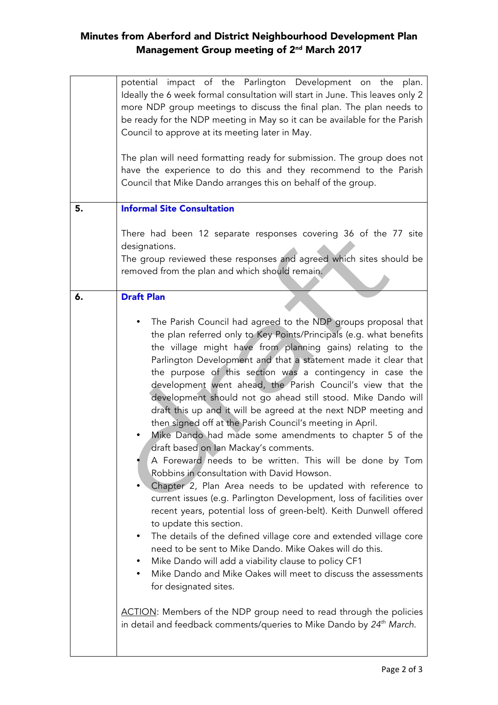## Minutes from Aberford and District Neighbourhood Development Plan Management Group meeting of 2nd March 2017

|    | potential impact of the Parlington Development on the plan.<br>Ideally the 6 week formal consultation will start in June. This leaves only 2<br>more NDP group meetings to discuss the final plan. The plan needs to<br>be ready for the NDP meeting in May so it can be available for the Parish<br>Council to approve at its meeting later in May.<br>The plan will need formatting ready for submission. The group does not<br>have the experience to do this and they recommend to the Parish<br>Council that Mike Dando arranges this on behalf of the group.                                                                                                                                                                                                                                                                                                                                                                                                                                                                                                                                                                                                                                                                                                                                                                                                                                                                                                                                 |
|----|----------------------------------------------------------------------------------------------------------------------------------------------------------------------------------------------------------------------------------------------------------------------------------------------------------------------------------------------------------------------------------------------------------------------------------------------------------------------------------------------------------------------------------------------------------------------------------------------------------------------------------------------------------------------------------------------------------------------------------------------------------------------------------------------------------------------------------------------------------------------------------------------------------------------------------------------------------------------------------------------------------------------------------------------------------------------------------------------------------------------------------------------------------------------------------------------------------------------------------------------------------------------------------------------------------------------------------------------------------------------------------------------------------------------------------------------------------------------------------------------------|
| 5. | <b>Informal Site Consultation</b>                                                                                                                                                                                                                                                                                                                                                                                                                                                                                                                                                                                                                                                                                                                                                                                                                                                                                                                                                                                                                                                                                                                                                                                                                                                                                                                                                                                                                                                                  |
|    | There had been 12 separate responses covering 36 of the 77 site<br>designations.<br>The group reviewed these responses and agreed which sites should be<br>removed from the plan and which should remain.                                                                                                                                                                                                                                                                                                                                                                                                                                                                                                                                                                                                                                                                                                                                                                                                                                                                                                                                                                                                                                                                                                                                                                                                                                                                                          |
| 6. | <b>Draft Plan</b>                                                                                                                                                                                                                                                                                                                                                                                                                                                                                                                                                                                                                                                                                                                                                                                                                                                                                                                                                                                                                                                                                                                                                                                                                                                                                                                                                                                                                                                                                  |
|    | The Parish Council had agreed to the NDP groups proposal that<br>the plan referred only to Key Points/Principals (e.g. what benefits<br>the village might have from planning gains) relating to the<br>Parlington Development and that a statement made it clear that<br>the purpose of this section was a contingency in case the<br>development went ahead, the Parish Council's view that the<br>development should not go ahead still stood. Mike Dando will<br>draft this up and it will be agreed at the next NDP meeting and<br>then signed off at the Parish Council's meeting in April.<br>Mike Dando had made some amendments to chapter 5 of the<br>draft based on Ian Mackay's comments.<br>A Foreward needs to be written. This will be done by Tom<br>Robbins in consultation with David Howson.<br>Chapter 2, Plan Area needs to be updated with reference to<br>current issues (e.g. Parlington Development, loss of facilities over<br>recent years, potential loss of green-belt). Keith Dunwell offered<br>to update this section.<br>The details of the defined village core and extended village core<br>need to be sent to Mike Dando. Mike Oakes will do this.<br>Mike Dando will add a viability clause to policy CF1<br>Mike Dando and Mike Oakes will meet to discuss the assessments<br>for designated sites.<br>ACTION: Members of the NDP group need to read through the policies<br>in detail and feedback comments/queries to Mike Dando by 24 <sup>th</sup> March. |